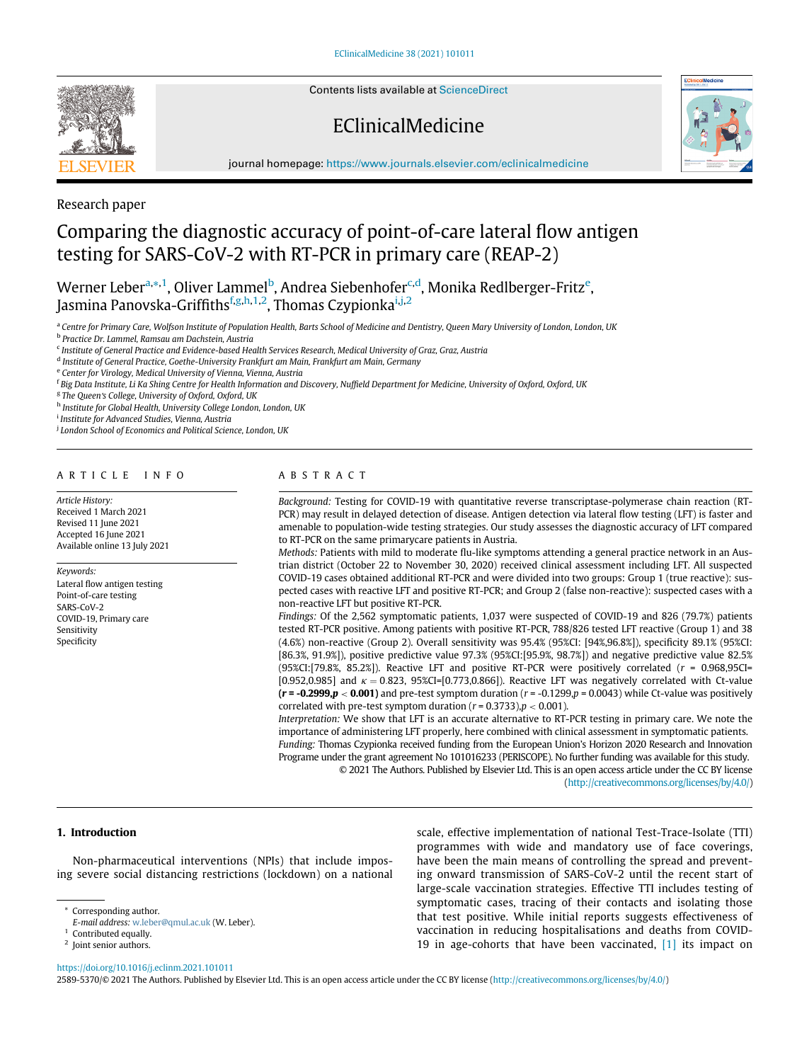Contents lists available at [ScienceDirect](http://www.ScienceDirect.com)

# EClinicalMedicine



journal homepage: [https://www.journals.elsevier.com/eclinicalmedicine](http://https://www.journals.elsevier.com/eclinicalmedicine)



## Comparing the diagnostic accuracy of point-of-care lateral flow antigen testing for SARS-CoV-2 with RT-PCR in primary care (REAP-2)

Werner Leber<sup>[a,](#page-0-0)</sup>[\\*](#page-0-1),<sup>[1](#page-0-2)</sup>, Oliver Lammel<sup>[b](#page-0-3)</sup>, Andrea Siebenhofer<sup>[c](#page-0-4)[,d](#page-0-5)</sup>, Monika R[e](#page-0-6)dlberger-Fritz<sup>e</sup>, Jasmina Panovska-Gri[f](#page-0-7)fiths<sup>f[,g](#page-0-8)[,h](#page-0-9),[1](#page-0-2)[,2](#page-0-10)</sup>, Thomas Czyp[i](#page-0-11)onka<sup>i[,j](#page-0-12),2</sup>

<span id="page-0-0"></span>a Centre for Primary Care, Wolfson Institute of Population Health, Barts School of Medicine and Dentistry, Queen Mary University of London, London, UK

<span id="page-0-3"></span><sup>b</sup> Practice Dr. Lammel, Ramsau am Dachstein, Austria

<span id="page-0-4"></span><sup>c</sup> Institute of General Practice and Evidence-based Health Services Research, Medical University of Graz, Graz, Austria

<span id="page-0-5"></span><sup>d</sup> Institute of General Practice, Goethe-University Frankfurt am Main, Frankfurt am Main, Germany

<span id="page-0-6"></span><sup>e</sup> Center for Virology, Medical University of Vienna, Vienna, Austria

<span id="page-0-7"></span><sup>f</sup> Big Data Institute, Li Ka Shing Centre for Health Information and Discovery, Nuffield Department for Medicine, University of Oxford, Oxford, UK

<span id="page-0-8"></span><sup>g</sup> The Queen's College, University of Oxford, Oxford, UK

<span id="page-0-11"></span><span id="page-0-9"></span>h Institute for Global Health, University College London, London, UK

<sup>i</sup> Institute for Advanced Studies, Vienna, Austria

<span id="page-0-12"></span><sup>j</sup> London School of Economics and Political Science, London, UK

## ARTICLE INFO

Article History: Received 1 March 2021 Revised 11 June 2021 Accepted 16 June 2021 Available online 13 July 2021

Keywords:

Lateral flow antigen testing Point-of-care testing SARS-CoV-2 COVID-19, Primary care Sensitivity Specificity

## ABSTRACT

Background: Testing for COVID-19 with quantitative reverse transcriptase-polymerase chain reaction (RT-PCR) may result in delayed detection of disease. Antigen detection via lateral flow testing (LFT) is faster and amenable to population-wide testing strategies. Our study assesses the diagnostic accuracy of LFT compared to RT-PCR on the same primarycare patients in Austria.

Methods: Patients with mild to moderate flu-like symptoms attending a general practice network in an Austrian district (October 22 to November 30, 2020) received clinical assessment including LFT. All suspected COVID-19 cases obtained additional RT-PCR and were divided into two groups: Group 1 (true reactive): suspected cases with reactive LFT and positive RT-PCR; and Group 2 (false non-reactive): suspected cases with a non-reactive LFT but positive RT-PCR.

Findings: Of the 2,562 symptomatic patients, 1,037 were suspected of COVID-19 and 826 (79.7%) patients tested RT-PCR positive. Among patients with positive RT-PCR, 788/826 tested LFT reactive (Group 1) and 38 (4.6%) non-reactive (Group 2). Overall sensitivity was 95.4% (95%CI: [94%,96.8%]), specificity 89.1% (95%CI: [86.3%, 91.9%]), positive predictive value 97.3% (95%CI:[95.9%, 98.7%]) and negative predictive value 82.5% (95%CI:[79.8%, 85.2%]). Reactive LFT and positive RT-PCR were positively correlated  $(r = 0.968,95C1)$ [0.952,0.985] and  $\kappa = 0.823$ , 95%CI=[0.773,0.866]). Reactive LFT was negatively correlated with Ct-value  $(r = -0.2999, p < 0.001)$  and pre-test symptom duration  $(r = -0.1299, p = 0.0043)$  while Ct-value was positively correlated with pre-test symptom duration ( $r = 0.3733$ ),  $p < 0.001$ ).

Interpretation: We show that LFT is an accurate alternative to RT-PCR testing in primary care. We note the importance of administering LFT properly, here combined with clinical assessment in symptomatic patients. Funding: Thomas Czypionka received funding from the European Union's Horizon 2020 Research and Innovation Programe under the grant agreement No 101016233 (PERISCOPE). No further funding was available for this study. © 2021 The Authors. Published by Elsevier Ltd. This is an open access article under the CC BY license

(<http://creativecommons.org/licenses/by/4.0/>)

#### 1. Introduction

Non-pharmaceutical interventions (NPIs) that include imposing severe social distancing restrictions (lockdown) on a national scale, effective implementation of national Test-Trace-Isolate (TTI) programmes with wide and mandatory use of face coverings, have been the main means of controlling the spread and preventing onward transmission of SARS-CoV-2 until the recent start of large-scale vaccination strategies. Effective TTI includes testing of symptomatic cases, tracing of their contacts and isolating those that test positive. While initial reports suggests effectiveness of vaccination in reducing hospitalisations and deaths from COVID-19 in age-cohorts that have been vaccinated, [\[1\]](#page-5-0) its impact on

<span id="page-0-10"></span><https://doi.org/10.1016/j.eclinm.2021.101011>

2589-5370/© 2021 The Authors. Published by Elsevier Ltd. This is an open access article under the CC BY license ([http://creativecommons.org/licenses/by/4.0/\)](http://creativecommons.org/licenses/by/4.0/)

<span id="page-0-1"></span>Corresponding author.

E-mail address: [w.leber@qmul.ac.uk](mailto:w.leber@qmul.ac.uk) (W. Leber).

<span id="page-0-2"></span>Contributed equally.

<sup>&</sup>lt;sup>2</sup> Joint senior authors.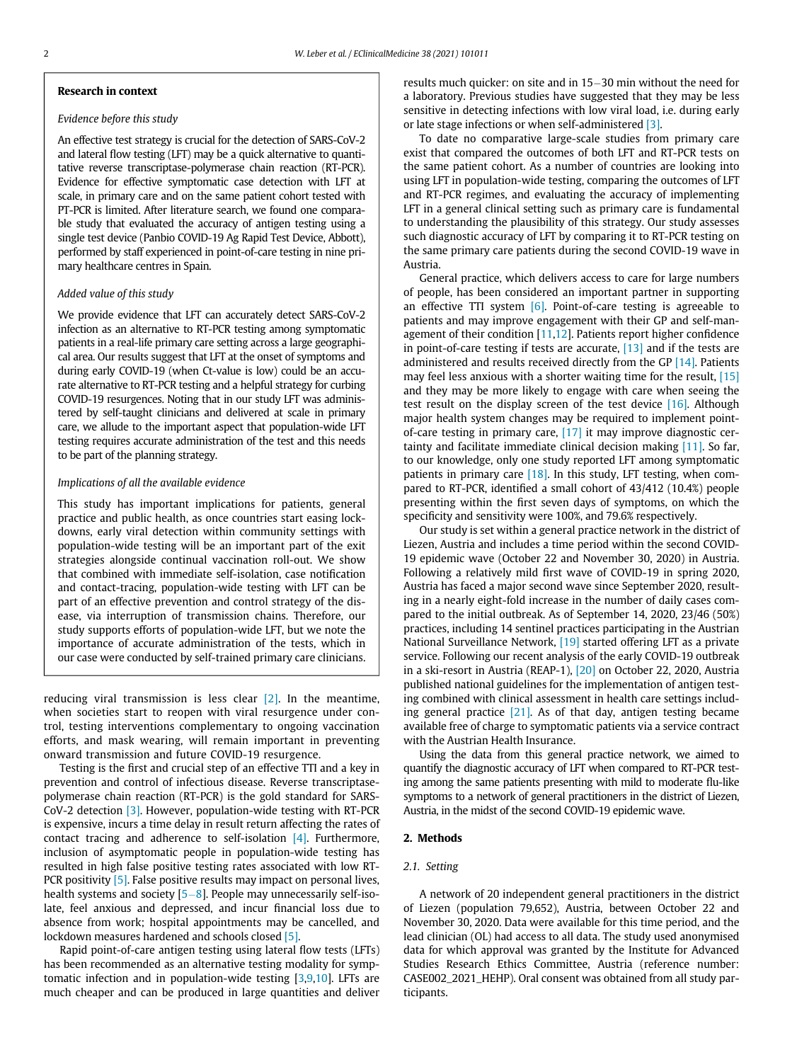#### Research in context

#### Evidence before this study

An effective test strategy is crucial for the detection of SARS-CoV-2 and lateral flow testing (LFT) may be a quick alternative to quantitative reverse transcriptase-polymerase chain reaction (RT-PCR). Evidence for effective symptomatic case detection with LFT at scale, in primary care and on the same patient cohort tested with PT-PCR is limited. After literature search, we found one comparable study that evaluated the accuracy of antigen testing using a single test device (Panbio COVID-19 Ag Rapid Test Device, Abbott), performed by staff experienced in point-of-care testing in nine primary healthcare centres in Spain.

## Added value of this study

We provide evidence that LFT can accurately detect SARS-CoV-2 infection as an alternative to RT-PCR testing among symptomatic patients in a real-life primary care setting across a large geographical area. Our results suggest that LFT at the onset of symptoms and during early COVID-19 (when Ct-value is low) could be an accurate alternative to RT-PCR testing and a helpful strategy for curbing COVID-19 resurgences. Noting that in our study LFT was administered by self-taught clinicians and delivered at scale in primary care, we allude to the important aspect that population-wide LFT testing requires accurate administration of the test and this needs to be part of the planning strategy.

#### Implications of all the available evidence

This study has important implications for patients, general practice and public health, as once countries start easing lockdowns, early viral detection within community settings with population-wide testing will be an important part of the exit strategies alongside continual vaccination roll-out. We show that combined with immediate self-isolation, case notification and contact-tracing, population-wide testing with LFT can be part of an effective prevention and control strategy of the disease, via interruption of transmission chains. Therefore, our study supports efforts of population-wide LFT, but we note the importance of accurate administration of the tests, which in our case were conducted by self-trained primary care clinicians.

reducing viral transmission is less clear [\[2\].](#page-5-1) In the meantime, when societies start to reopen with viral resurgence under control, testing interventions complementary to ongoing vaccination efforts, and mask wearing, will remain important in preventing onward transmission and future COVID-19 resurgence.

Testing is the first and crucial step of an effective TTI and a key in prevention and control of infectious disease. Reverse transcriptasepolymerase chain reaction (RT-PCR) is the gold standard for SARS-CoV-2 detection [\[3\].](#page-5-2) However, population-wide testing with RT-PCR is expensive, incurs a time delay in result return affecting the rates of contact tracing and adherence to self-isolation [\[4\]](#page-5-3). Furthermore, inclusion of asymptomatic people in population-wide testing has resulted in high false positive testing rates associated with low RT-PCR positivity [\[5\]](#page-5-4). False positive results may impact on personal lives, health systems and society [[5](#page-5-4)-[8](#page-5-4)]. People may unnecessarily self-isolate, feel anxious and depressed, and incur financial loss due to absence from work; hospital appointments may be cancelled, and lockdown measures hardened and schools closed [\[5\].](#page-5-4)

Rapid point-of-care antigen testing using lateral flow tests (LFTs) has been recommended as an alternative testing modality for symptomatic infection and in population-wide testing [[3,](#page-5-2)[9,](#page-6-0)[10\]](#page-6-1). LFTs are much cheaper and can be produced in large quantities and deliver results much quicker: on site and in 15-30 min without the need for a laboratory. Previous studies have suggested that they may be less sensitive in detecting infections with low viral load, i.e. during early or late stage infections or when self-administered [\[3\]](#page-5-2).

To date no comparative large-scale studies from primary care exist that compared the outcomes of both LFT and RT-PCR tests on the same patient cohort. As a number of countries are looking into using LFT in population-wide testing, comparing the outcomes of LFT and RT-PCR regimes, and evaluating the accuracy of implementing LFT in a general clinical setting such as primary care is fundamental to understanding the plausibility of this strategy. Our study assesses such diagnostic accuracy of LFT by comparing it to RT-PCR testing on the same primary care patients during the second COVID-19 wave in Austria.

General practice, which delivers access to care for large numbers of people, has been considered an important partner in supporting an effective TTI system  $[6]$ . Point-of-care testing is agreeable to patients and may improve engagement with their GP and self-man-agement of their condition [\[11](#page-6-2)[,12](#page-6-3)]. Patients report higher confidence in point-of-care testing if tests are accurate,  $[13]$  and if the tests are administered and results received directly from the GP  $[14]$ . Patients may feel less anxious with a shorter waiting time for the result, [\[15\]](#page-6-6) and they may be more likely to engage with care when seeing the test result on the display screen of the test device [\[16\].](#page-6-7) Although major health system changes may be required to implement pointof-care testing in primary care, [\[17\]](#page-6-8) it may improve diagnostic certainty and facilitate immediate clinical decision making [\[11\].](#page-6-2) So far, to our knowledge, only one study reported LFT among symptomatic patients in primary care [\[18\]](#page-6-9). In this study, LFT testing, when compared to RT-PCR, identified a small cohort of 43/412 (10.4%) people presenting within the first seven days of symptoms, on which the specificity and sensitivity were 100%, and 79.6% respectively.

Our study is set within a general practice network in the district of Liezen, Austria and includes a time period within the second COVID-19 epidemic wave (October 22 and November 30, 2020) in Austria. Following a relatively mild first wave of COVID-19 in spring 2020, Austria has faced a major second wave since September 2020, resulting in a nearly eight-fold increase in the number of daily cases compared to the initial outbreak. As of September 14, 2020, 23/46 (50%) practices, including 14 sentinel practices participating in the Austrian National Surveillance Network, [\[19\]](#page-6-10) started offering LFT as a private service. Following our recent analysis of the early COVID-19 outbreak in a ski-resort in Austria (REAP-1), [\[20\]](#page-6-11) on October 22, 2020, Austria published national guidelines for the implementation of antigen testing combined with clinical assessment in health care settings including general practice  $[21]$ . As of that day, antigen testing became available free of charge to symptomatic patients via a service contract with the Austrian Health Insurance.

Using the data from this general practice network, we aimed to quantify the diagnostic accuracy of LFT when compared to RT-PCR testing among the same patients presenting with mild to moderate flu-like symptoms to a network of general practitioners in the district of Liezen, Austria, in the midst of the second COVID-19 epidemic wave.

### 2. Methods

## 2.1. Setting

A network of 20 independent general practitioners in the district of Liezen (population 79,652), Austria, between October 22 and November 30, 2020. Data were available for this time period, and the lead clinician (OL) had access to all data. The study used anonymised data for which approval was granted by the Institute for Advanced Studies Research Ethics Committee, Austria (reference number: CASE002\_2021\_HEHP). Oral consent was obtained from all study participants.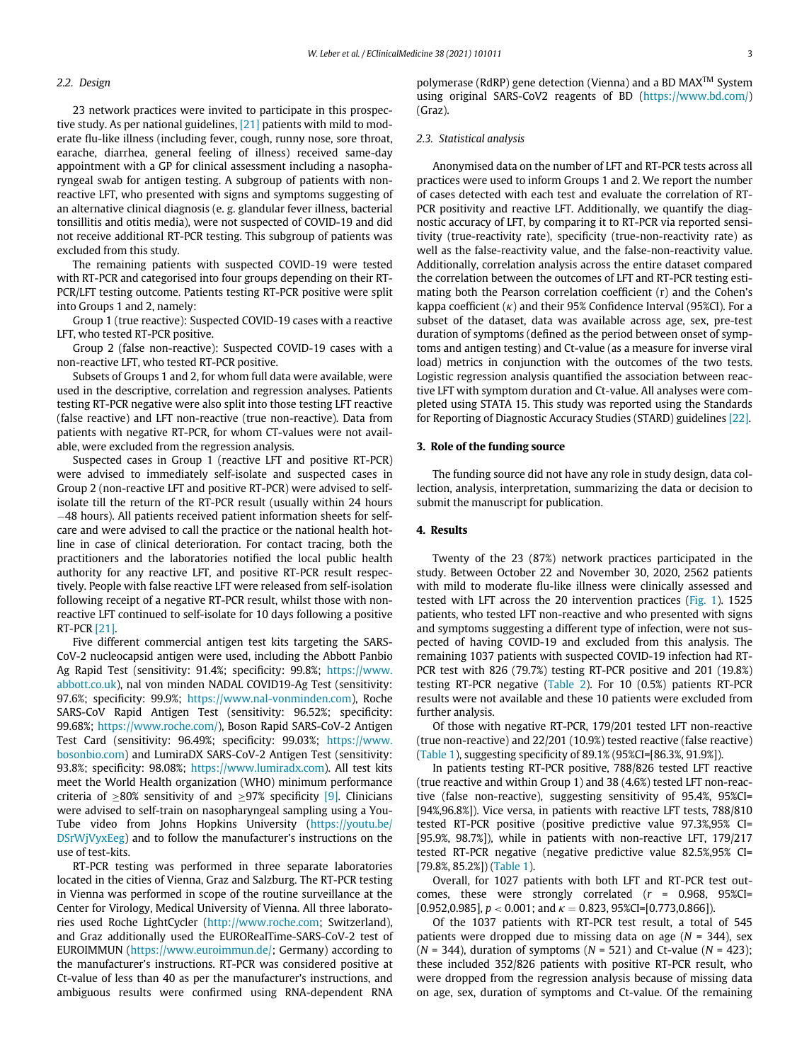## 2.2. Design

23 network practices were invited to participate in this prospective study. As per national guidelines, [\[21\]](#page-6-12) patients with mild to moderate flu-like illness (including fever, cough, runny nose, sore throat, earache, diarrhea, general feeling of illness) received same-day appointment with a GP for clinical assessment including a nasopharyngeal swab for antigen testing. A subgroup of patients with nonreactive LFT, who presented with signs and symptoms suggesting of an alternative clinical diagnosis (e. g. glandular fever illness, bacterial tonsillitis and otitis media), were not suspected of COVID-19 and did not receive additional RT-PCR testing. This subgroup of patients was excluded from this study.

The remaining patients with suspected COVID-19 were tested with RT-PCR and categorised into four groups depending on their RT-PCR/LFT testing outcome. Patients testing RT-PCR positive were split into Groups 1 and 2, namely:

Group 1 (true reactive): Suspected COVID-19 cases with a reactive LFT, who tested RT-PCR positive.

Group 2 (false non-reactive): Suspected COVID-19 cases with a non-reactive LFT, who tested RT-PCR positive.

Subsets of Groups 1 and 2, for whom full data were available, were used in the descriptive, correlation and regression analyses. Patients testing RT-PCR negative were also split into those testing LFT reactive (false reactive) and LFT non-reactive (true non-reactive). Data from patients with negative RT-PCR, for whom CT-values were not available, were excluded from the regression analysis.

Suspected cases in Group 1 (reactive LFT and positive RT-PCR) were advised to immediately self-isolate and suspected cases in Group 2 (non-reactive LFT and positive RT-PCR) were advised to selfisolate till the return of the RT-PCR result (usually within 24 hours -48 hours). All patients received patient information sheets for selfcare and were advised to call the practice or the national health hotline in case of clinical deterioration. For contact tracing, both the practitioners and the laboratories notified the local public health authority for any reactive LFT, and positive RT-PCR result respectively. People with false reactive LFT were released from self-isolation following receipt of a negative RT-PCR result, whilst those with nonreactive LFT continued to self-isolate for 10 days following a positive RT-PCR [\[21\].](#page-6-12)

Five different commercial antigen test kits targeting the SARS-CoV-2 nucleocapsid antigen were used, including the Abbott Panbio Ag Rapid Test (sensitivity: 91.4%; specificity: 99.8%; [https://www.](https://www.abbott.co.uk) [abbott.co.uk](https://www.abbott.co.uk)), nal von minden NADAL COVID19-Ag Test (sensitivity: 97.6%; specificity: 99.9%; [https://www.nal-vonminden.com\)](https://www.nal-vonminden.com), Roche SARS-CoV Rapid Antigen Test (sensitivity: 96.52%; specificity: 99.68%; [https://www.roche.com/\)](https://www.roche.com/), Boson Rapid SARS-CoV-2 Antigen Test Card (sensitivity: 96.49%; specificity: 99.03%; [https://www.](https://www.bosonbio.com) [bosonbio.com](https://www.bosonbio.com)) and LumiraDX SARS-CoV-2 Antigen Test (sensitivity: 93.8%; specificity: 98.08%; <https://www.lumiradx.com>). All test kits meet the World Health organization (WHO) minimum performance criteria of  $\geq 80\%$  sensitivity of and  $\geq 97\%$  specificity [\[9\].](#page-6-0) Clinicians were advised to self-train on nasopharyngeal sampling using a You-Tube video from Johns Hopkins University [\(https://youtu.be/](https://youtu.be/DSrWjVyxEeg) [DSrWjVyxEeg](https://youtu.be/DSrWjVyxEeg)) and to follow the manufacturer's instructions on the use of test-kits.

RT-PCR testing was performed in three separate laboratories located in the cities of Vienna, Graz and Salzburg. The RT-PCR testing in Vienna was performed in scope of the routine surveillance at the Center for Virology, Medical University of Vienna. All three laboratories used Roche LightCycler ([http://www.roche.com;](http://www.roche.com) Switzerland), and Graz additionally used the EURORealTime-SARS-CoV-2 test of EUROIMMUN (<https://www.euroimmun.de/>; Germany) according to the manufacturer's instructions. RT-PCR was considered positive at Ct-value of less than 40 as per the manufacturer's instructions, and ambiguous results were confirmed using RNA-dependent RNA

polymerase (RdRP) gene detection (Vienna) and a BD MAXTM System using original SARS-CoV2 reagents of BD ([https://www.bd.com/\)](https://www.bd.com/) (Graz).

#### 2.3. Statistical analysis

Anonymised data on the number of LFT and RT-PCR tests across all practices were used to inform Groups 1 and 2. We report the number of cases detected with each test and evaluate the correlation of RT-PCR positivity and reactive LFT. Additionally, we quantify the diagnostic accuracy of LFT, by comparing it to RT-PCR via reported sensitivity (true-reactivity rate), specificity (true-non-reactivity rate) as well as the false-reactivity value, and the false-non-reactivity value. Additionally, correlation analysis across the entire dataset compared the correlation between the outcomes of LFT and RT-PCR testing estimating both the Pearson correlation coefficient (r) and the Cohen's kappa coefficient  $(\kappa)$  and their 95% Confidence Interval (95%CI). For a subset of the dataset, data was available across age, sex, pre-test duration of symptoms (defined as the period between onset of symptoms and antigen testing) and Ct-value (as a measure for inverse viral load) metrics in conjunction with the outcomes of the two tests. Logistic regression analysis quantified the association between reactive LFT with symptom duration and Ct-value. All analyses were completed using STATA 15. This study was reported using the Standards for Reporting of Diagnostic Accuracy Studies (STARD) guidelines [\[22\].](#page-6-13)

#### 3. Role of the funding source

The funding source did not have any role in study design, data collection, analysis, interpretation, summarizing the data or decision to submit the manuscript for publication.

#### 4. Results

Twenty of the 23 (87%) network practices participated in the study. Between October 22 and November 30, 2020, 2562 patients with mild to moderate flu-like illness were clinically assessed and tested with LFT across the 20 intervention practices [\(Fig. 1](#page-3-0)). 1525 patients, who tested LFT non-reactive and who presented with signs and symptoms suggesting a different type of infection, were not suspected of having COVID-19 and excluded from this analysis. The remaining 1037 patients with suspected COVID-19 infection had RT-PCR test with 826 (79.7%) testing RT-PCR positive and 201 (19.8%) testing RT-PCR negative ([Table 2](#page-4-0)). For 10 (0.5%) patients RT-PCR results were not available and these 10 patients were excluded from further analysis.

Of those with negative RT-PCR, 179/201 tested LFT non-reactive (true non-reactive) and 22/201 (10.9%) tested reactive (false reactive) [\(Table 1](#page-3-1)), suggesting specificity of 89.1% (95%CI=[86.3%, 91.9%]).

In patients testing RT-PCR positive, 788/826 tested LFT reactive (true reactive and within Group 1) and 38 (4.6%) tested LFT non-reactive (false non-reactive), suggesting sensitivity of 95.4%, 95%CI= [94%,96.8%]). Vice versa, in patients with reactive LFT tests, 788/810 tested RT-PCR positive (positive predictive value 97.3%,95% CI= [95.9%, 98.7%]), while in patients with non-reactive LFT, 179/217 tested RT-PCR negative (negative predictive value 82.5%,95% CI= [79.8%, 85.2%]) [\(Table 1](#page-3-1)).

Overall, for 1027 patients with both LFT and RT-PCR test outcomes, these were strongly correlated  $(r = 0.968, 95\%$ CI= [0.952,0.985],  $p < 0.001$ ; and  $\kappa = 0.823$ , 95%CI=[0.773,0.866]).

Of the 1037 patients with RT-PCR test result, a total of 545 patients were dropped due to missing data on age  $(N = 344)$ , sex  $(N = 344)$ , duration of symptoms  $(N = 521)$  and Ct-value  $(N = 423)$ ; these included 352/826 patients with positive RT-PCR result, who were dropped from the regression analysis because of missing data on age, sex, duration of symptoms and Ct-value. Of the remaining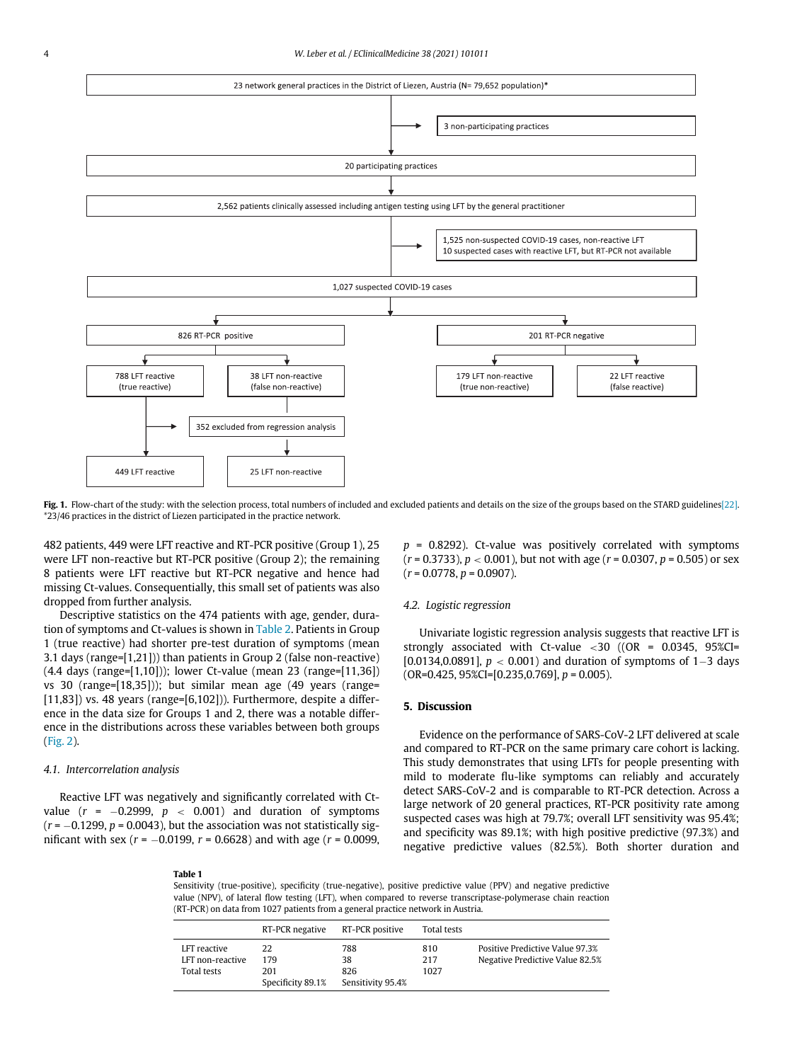<span id="page-3-0"></span>

Fig. 1. Flow-chart of the study: with the selection process, total numbers of included and excluded patients and details on the size of the groups based on the STARD guideline[s\[22\]](#page-6-13). \*23/46 practices in the district of Liezen participated in the practice network.

482 patients, 449 were LFT reactive and RT-PCR positive (Group 1), 25 were LFT non-reactive but RT-PCR positive (Group 2); the remaining 8 patients were LFT reactive but RT-PCR negative and hence had missing Ct-values. Consequentially, this small set of patients was also dropped from further analysis.

Descriptive statistics on the 474 patients with age, gender, duration of symptoms and Ct-values is shown in [Table 2.](#page-4-0) Patients in Group 1 (true reactive) had shorter pre-test duration of symptoms (mean 3.1 days (range=[1,21])) than patients in Group 2 (false non-reactive) (4.4 days (range=[1,10])); lower Ct-value (mean 23 (range=[11,36]) vs 30 (range=[18,35])); but similar mean age (49 years (range=  $[11,83]$ ) vs. 48 years (range= $[6,102]$ )). Furthermore, despite a difference in the data size for Groups 1 and 2, there was a notable difference in the distributions across these variables between both groups ([Fig. 2\)](#page-4-1).

#### 4.1. Intercorrelation analysis

<span id="page-3-1"></span>Reactive LFT was negatively and significantly correlated with Ctvalue ( $r = -0.2999$ ,  $p < 0.001$ ) and duration of symptoms  $(r = -0.1299, p = 0.0043)$ , but the association was not statistically significant with sex ( $r = -0.0199$ ,  $r = 0.6628$ ) and with age ( $r = 0.0099$ ,

 $p = 0.8292$ ). Ct-value was positively correlated with symptoms  $(r = 0.3733)$ ,  $p < 0.001$ ), but not with age  $(r = 0.0307, p = 0.505)$  or sex  $(r = 0.0778, p = 0.0907).$ 

#### 4.2. Logistic regression

Univariate logistic regression analysis suggests that reactive LFT is strongly associated with Ct-value  $<$  30 ((OR = 0.0345, 95%CI= [0.0134,0.0891],  $p < 0.001$ ) and duration of symptoms of 1–3 days  $(OR=0.425, 95\%CI=[0.235, 0.769], p=0.005).$ 

## 5. Discussion

Evidence on the performance of SARS-CoV-2 LFT delivered at scale and compared to RT-PCR on the same primary care cohort is lacking. This study demonstrates that using LFTs for people presenting with mild to moderate flu-like symptoms can reliably and accurately detect SARS-CoV-2 and is comparable to RT-PCR detection. Across a large network of 20 general practices, RT-PCR positivity rate among suspected cases was high at 79.7%; overall LFT sensitivity was 95.4%; and specificity was 89.1%; with high positive predictive (97.3%) and negative predictive values (82.5%). Both shorter duration and

#### Table 1

Sensitivity (true-positive), specificity (true-negative), positive predictive value (PPV) and negative predictive value (NPV), of lateral flow testing (LFT), when compared to reverse transcriptase-polymerase chain reaction (RT-PCR) on data from 1027 patients from a general practice network in Austria.

|                    | RT-PCR negative   | RT-PCR positive   | Total tests |                                 |
|--------------------|-------------------|-------------------|-------------|---------------------------------|
| LFT reactive       | 22                | 788               | 810         | Positive Predictive Value 97.3% |
| LFT non-reactive   | 179               | 38                | 217         | Negative Predictive Value 82.5% |
| <b>Total tests</b> | 201               | 826               | 1027        |                                 |
|                    | Specificity 89.1% | Sensitivity 95.4% |             |                                 |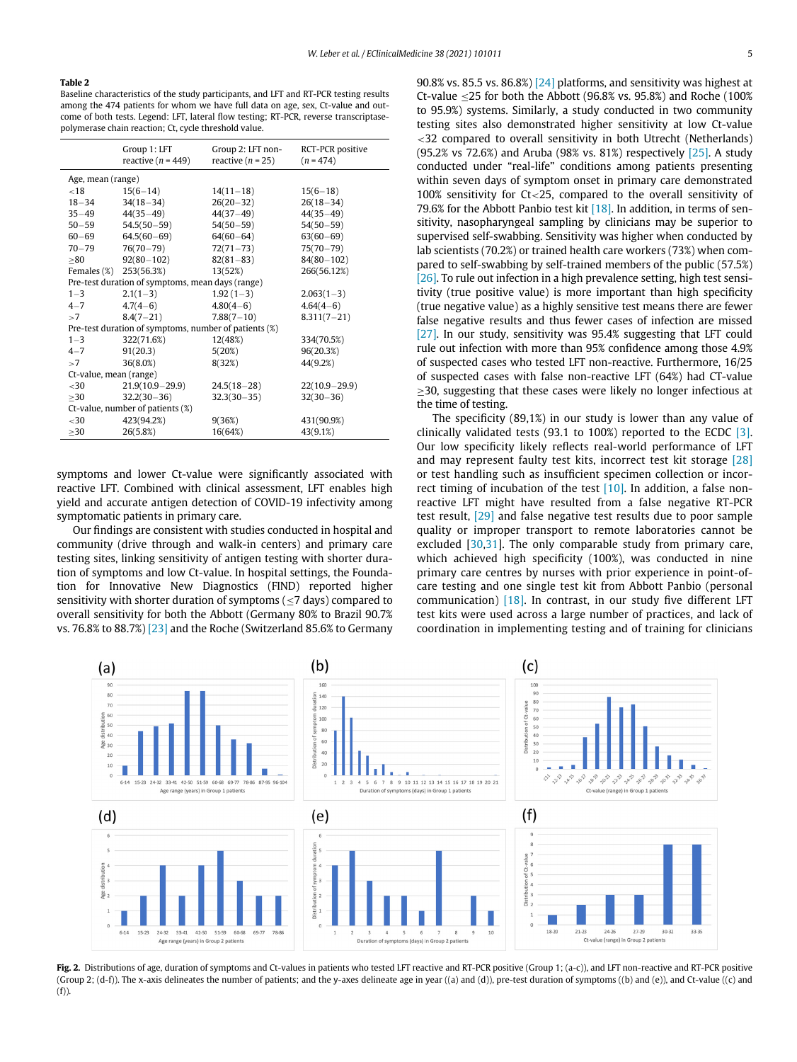#### <span id="page-4-0"></span>Table 2

Baseline characteristics of the study participants, and LFT and RT-PCR testing results among the 474 patients for whom we have full data on age, sex, Ct-value and outcome of both tests. Legend: LFT, lateral flow testing; RT-PCR, reverse transcriptasepolymerase chain reaction; Ct, cycle threshold value.

|                                                       | Group 1: LFT<br>reactive $(n = 449)$ | Group 2: LFT non-<br>reactive $(n = 25)$ | RCT-PCR positive<br>$(n = 474)$ |  |  |  |
|-------------------------------------------------------|--------------------------------------|------------------------------------------|---------------------------------|--|--|--|
| Age, mean (range)                                     |                                      |                                          |                                 |  |  |  |
| ${<}18$                                               | $15(6 - 14)$                         | $14(11-18)$                              | $15(6-18)$                      |  |  |  |
| $18 - 34$                                             | $34(18 - 34)$                        | $26(20-32)$                              | $26(18-34)$                     |  |  |  |
| $35 - 49$                                             | $44(35 - 49)$                        | $44(37-49)$                              | $44(35-49)$                     |  |  |  |
| $50 - 59$                                             | $54.5(50 - 59)$                      | $54(50 - 59)$                            | $54(50 - 59)$                   |  |  |  |
| $60 - 69$                                             | $64.5(60 - 69)$                      | $64(60 - 64)$                            | $63(60 - 69)$                   |  |  |  |
| $70 - 79$                                             | $76(70 - 79)$                        | $72(71 - 73)$                            | $75(70 - 79)$                   |  |  |  |
| >80                                                   | $92(80 - 102)$                       | $82(81 - 83)$                            | $84(80 - 102)$                  |  |  |  |
|                                                       | Females (%) 253(56.3%)               | 13(52%)                                  | 266(56.12%)                     |  |  |  |
| Pre-test duration of symptoms, mean days (range)      |                                      |                                          |                                 |  |  |  |
| $1 - 3$                                               | $2.1(1-3)$                           | $1.92(1-3)$                              | $2.063(1-3)$                    |  |  |  |
| $4 - 7$                                               | $4,7(4-6)$                           | $4.80(4-6)$                              | $4.64(4-6)$                     |  |  |  |
| >7                                                    | $8.4(7-21)$                          | $7.88(7-10)$                             | $8.311(7 - 21)$                 |  |  |  |
| Pre-test duration of symptoms, number of patients (%) |                                      |                                          |                                 |  |  |  |
| $1 - 3$                                               | 322(71.6%)                           | 12(48%)                                  | 334(70.5%)                      |  |  |  |
| $4 - 7$                                               | 91(20.3)                             | 5(20%)                                   | 96(20.3%)                       |  |  |  |
| >7                                                    | 36(8.0%)                             | 8(32%)                                   | 44(9.2%)                        |  |  |  |
| Ct-value, mean (range)                                |                                      |                                          |                                 |  |  |  |
| $30$                                                  | $21.9(10.9 - 29.9)$                  | $24.5(18-28)$                            | $22(10.9 - 29.9)$               |  |  |  |
| $\geq$ 30                                             | $32.2(30-36)$                        | $32,3(30-35)$                            | $32(30-36)$                     |  |  |  |
| Ct-value, number of patients (%)                      |                                      |                                          |                                 |  |  |  |
| $30$                                                  | 423(94.2%)                           | 9(36%)                                   | 431(90.9%)                      |  |  |  |
| >30                                                   | 26(5.8%)                             | 16(64%)                                  | 43(9.1%)                        |  |  |  |

symptoms and lower Ct-value were significantly associated with reactive LFT. Combined with clinical assessment, LFT enables high yield and accurate antigen detection of COVID-19 infectivity among symptomatic patients in primary care.

Our findings are consistent with studies conducted in hospital and community (drive through and walk-in centers) and primary care testing sites, linking sensitivity of antigen testing with shorter duration of symptoms and low Ct-value. In hospital settings, the Foundation for Innovative New Diagnostics (FIND) reported higher sensitivity with shorter duration of symptoms ( $\leq$ 7 days) compared to overall sensitivity for both the Abbott (Germany 80% to Brazil 90.7% vs. 76.8% to 88.7%) [\[23\]](#page-6-14) and the Roche (Switzerland 85.6% to Germany 90.8% vs. 85.5 vs. 86.8%)  $[24]$  platforms, and sensitivity was highest at Ct-value  $\leq$ 25 for both the Abbott (96.8% vs. 95.8%) and Roche (100%) to 95.9%) systems. Similarly, a study conducted in two community testing sites also demonstrated higher sensitivity at low Ct-value <32 compared to overall sensitivity in both Utrecht (Netherlands) (95.2% vs 72.6%) and Aruba (98% vs. 81%) respectively  $[25]$ . A study conducted under "real-life" conditions among patients presenting within seven days of symptom onset in primary care demonstrated 100% sensitivity for Ct<25, compared to the overall sensitivity of 79.6% for the Abbott Panbio test kit  $[18]$ . In addition, in terms of sensitivity, nasopharyngeal sampling by clinicians may be superior to supervised self-swabbing. Sensitivity was higher when conducted by lab scientists (70.2%) or trained health care workers (73%) when compared to self-swabbing by self-trained members of the public (57.5%) [\[26\]](#page-6-17). To rule out infection in a high prevalence setting, high test sensitivity (true positive value) is more important than high specificity (true negative value) as a highly sensitive test means there are fewer false negative results and thus fewer cases of infection are missed [\[27\]](#page-6-18). In our study, sensitivity was 95.4% suggesting that LFT could rule out infection with more than 95% confidence among those 4.9% of suspected cases who tested LFT non-reactive. Furthermore, 16/25 of suspected cases with false non-reactive LFT (64%) had CT-value 30, suggesting that these cases were likely no longer infectious at the time of testing.

The specificity (89,1%) in our study is lower than any value of clinically validated tests (93.1 to 100%) reported to the ECDC [\[3\].](#page-5-2) Our low specificity likely reflects real-world performance of LFT and may represent faulty test kits, incorrect test kit storage [\[28\]](#page-6-19) or test handling such as insufficient specimen collection or incorrect timing of incubation of the test [\[10\].](#page-6-1) In addition, a false nonreactive LFT might have resulted from a false negative RT-PCR test result, [\[29\]](#page-6-20) and false negative test results due to poor sample quality or improper transport to remote laboratories cannot be excluded [[30](#page-6-21)[,31](#page-6-22)]. The only comparable study from primary care, which achieved high specificity (100%), was conducted in nine primary care centres by nurses with prior experience in point-ofcare testing and one single test kit from Abbott Panbio (personal communication) [\[18\].](#page-6-9) In contrast, in our study five different LFT test kits were used across a large number of practices, and lack of coordination in implementing testing and of training for clinicians

<span id="page-4-1"></span>

Fig. 2. Distributions of age, duration of symptoms and Ct-values in patients who tested LFT reactive and RT-PCR positive (Group 1; (a-c)), and LFT non-reactive and RT-PCR positive (Group 2; (d-f)). The x-axis delineates the number of patients; and the y-axes delineate age in year ((a) and (d)), pre-test duration of symptoms ((b) and (e)), and Ct-value ((c) and  $(f)$ ).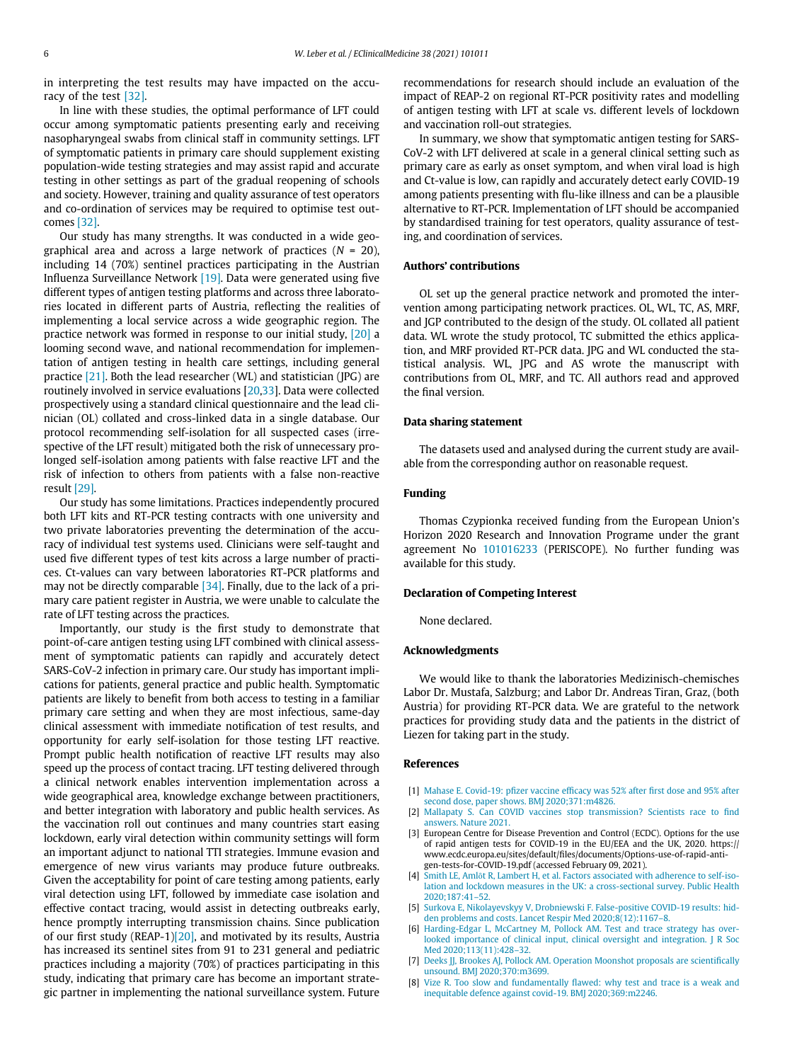in interpreting the test results may have impacted on the accuracy of the test [\[32\]](#page-6-23).

In line with these studies, the optimal performance of LFT could occur among symptomatic patients presenting early and receiving nasopharyngeal swabs from clinical staff in community settings. LFT of symptomatic patients in primary care should supplement existing population-wide testing strategies and may assist rapid and accurate testing in other settings as part of the gradual reopening of schools and society. However, training and quality assurance of test operators and co-ordination of services may be required to optimise test outcomes [\[32\].](#page-6-23)

Our study has many strengths. It was conducted in a wide geographical area and across a large network of practices  $(N = 20)$ , including 14 (70%) sentinel practices participating in the Austrian Influenza Surveillance Network [\[19\].](#page-6-10) Data were generated using five different types of antigen testing platforms and across three laboratories located in different parts of Austria, reflecting the realities of implementing a local service across a wide geographic region. The practice network was formed in response to our initial study, [\[20\]](#page-6-11) a looming second wave, and national recommendation for implementation of antigen testing in health care settings, including general practice [\[21\].](#page-6-12) Both the lead researcher (WL) and statistician (JPG) are routinely involved in service evaluations [\[20](#page-6-11)[,33](#page-6-24)]. Data were collected prospectively using a standard clinical questionnaire and the lead clinician (OL) collated and cross-linked data in a single database. Our protocol recommending self-isolation for all suspected cases (irrespective of the LFT result) mitigated both the risk of unnecessary prolonged self-isolation among patients with false reactive LFT and the risk of infection to others from patients with a false non-reactive result [\[29\]](#page-6-20).

<span id="page-5-6"></span>Our study has some limitations. Practices independently procured both LFT kits and RT-PCR testing contracts with one university and two private laboratories preventing the determination of the accuracy of individual test systems used. Clinicians were self-taught and used five different types of test kits across a large number of practices. Ct-values can vary between laboratories RT-PCR platforms and may not be directly comparable [\[34\].](#page-6-25) Finally, due to the lack of a primary care patient register in Austria, we were unable to calculate the rate of LFT testing across the practices.

<span id="page-5-5"></span><span id="page-5-4"></span><span id="page-5-3"></span><span id="page-5-2"></span><span id="page-5-1"></span><span id="page-5-0"></span>Importantly, our study is the first study to demonstrate that point-of-care antigen testing using LFT combined with clinical assessment of symptomatic patients can rapidly and accurately detect SARS-CoV-2 infection in primary care. Our study has important implications for patients, general practice and public health. Symptomatic patients are likely to benefit from both access to testing in a familiar primary care setting and when they are most infectious, same-day clinical assessment with immediate notification of test results, and opportunity for early self-isolation for those testing LFT reactive. Prompt public health notification of reactive LFT results may also speed up the process of contact tracing. LFT testing delivered through a clinical network enables intervention implementation across a wide geographical area, knowledge exchange between practitioners, and better integration with laboratory and public health services. As the vaccination roll out continues and many countries start easing lockdown, early viral detection within community settings will form an important adjunct to national TTI strategies. Immune evasion and emergence of new virus variants may produce future outbreaks. Given the acceptability for point of care testing among patients, early viral detection using LFT, followed by immediate case isolation and effective contact tracing, would assist in detecting outbreaks early, hence promptly interrupting transmission chains. Since publication of our first study (REAP-1[\)\[20\]](#page-6-11), and motivated by its results, Austria has increased its sentinel sites from 91 to 231 general and pediatric practices including a majority (70%) of practices participating in this study, indicating that primary care has become an important strategic partner in implementing the national surveillance system. Future recommendations for research should include an evaluation of the impact of REAP-2 on regional RT-PCR positivity rates and modelling of antigen testing with LFT at scale vs. different levels of lockdown and vaccination roll-out strategies.

In summary, we show that symptomatic antigen testing for SARS-CoV-2 with LFT delivered at scale in a general clinical setting such as primary care as early as onset symptom, and when viral load is high and Ct-value is low, can rapidly and accurately detect early COVID-19 among patients presenting with flu-like illness and can be a plausible alternative to RT-PCR. Implementation of LFT should be accompanied by standardised training for test operators, quality assurance of testing, and coordination of services.

## Authors' contributions

OL set up the general practice network and promoted the intervention among participating network practices. OL, WL, TC, AS, MRF, and JGP contributed to the design of the study. OL collated all patient data. WL wrote the study protocol, TC submitted the ethics application, and MRF provided RT-PCR data. JPG and WL conducted the statistical analysis. WL, JPG and AS wrote the manuscript with contributions from OL, MRF, and TC. All authors read and approved the final version.

#### Data sharing statement

The datasets used and analysed during the current study are available from the corresponding author on reasonable request.

## Funding

Thomas Czypionka received funding from the European Union's Horizon 2020 Research and Innovation Programe under the grant agreement No [101016233](#page-5-6) (PERISCOPE). No further funding was available for this study.

## Declaration of Competing Interest

None declared.

#### Acknowledgments

We would like to thank the laboratories Medizinisch-chemisches Labor Dr. Mustafa, Salzburg; and Labor Dr. Andreas Tiran, Graz, (both Austria) for providing RT-PCR data. We are grateful to the network practices for providing study data and the patients in the district of Liezen for taking part in the study.

#### References

- [1] [Mahase E. Covid-19: p](http://refhub.elsevier.com/S2589-5370(21)00291-1/sbref0002)fizer vaccine efficacy was 52% after first dose and 95% after [second dose, paper shows. BMJ 2020;371:m4826.](http://refhub.elsevier.com/S2589-5370(21)00291-1/sbref0002)
- [2] [Mallapaty S. Can COVID vaccines stop transmission? Scientists race to](http://refhub.elsevier.com/S2589-5370(21)00291-1/sbref0003) find [answers. Nature 2021.](http://refhub.elsevier.com/S2589-5370(21)00291-1/sbref0003)
- [3] European Centre for Disease Prevention and Control (ECDC). Options for the use of rapid antigen tests for COVID-19 in the EU/EEA and the UK, 2020. https:// www.ecdc.europa.eu/sites/default/files/documents/Options-use-of-rapid-antigen-tests-for-COVID-19.pdf (accessed February 09, 2021).
- [4] Smith LE, Amlô[t R, Lambert H, et al. Factors associated with adherence to self-iso](http://refhub.elsevier.com/S2589-5370(21)00291-1/sbref0005)[lation and lockdown measures in the UK: a cross-sectional survey. Public Health](http://refhub.elsevier.com/S2589-5370(21)00291-1/sbref0005) [2020;187:41](http://refhub.elsevier.com/S2589-5370(21)00291-1/sbref0005)–52.
- [5] [Surkova E, Nikolayevskyy V, Drobniewski F. False-positive COVID-19 results: hid](http://refhub.elsevier.com/S2589-5370(21)00291-1/sbref0006)[den problems and costs. Lancet Respir Med 2020;8\(12\):1167](http://refhub.elsevier.com/S2589-5370(21)00291-1/sbref0006)–8.
- [6] [Harding-Edgar L, McCartney M, Pollock AM. Test and trace strategy has over](http://refhub.elsevier.com/S2589-5370(21)00291-1/sbref0001)[looked importance of clinical input, clinical oversight and integration. J R Soc](http://refhub.elsevier.com/S2589-5370(21)00291-1/sbref0001) [Med 2020;113\(11\):428](http://refhub.elsevier.com/S2589-5370(21)00291-1/sbref0001)–32.
- [7] [Deeks JJ, Brookes AJ, Pollock AM. Operation Moonshot proposals are scienti](http://refhub.elsevier.com/S2589-5370(21)00291-1/sbref0007)fically [unsound. BMJ 2020;370:m3699.](http://refhub.elsevier.com/S2589-5370(21)00291-1/sbref0007)
- [8] Vize R. Too slow and fundamentally fl[awed: why test and trace is a weak and](http://refhub.elsevier.com/S2589-5370(21)00291-1/sbref0008) [inequitable defence against covid-19. BMJ 2020;369:m2246.](http://refhub.elsevier.com/S2589-5370(21)00291-1/sbref0008)